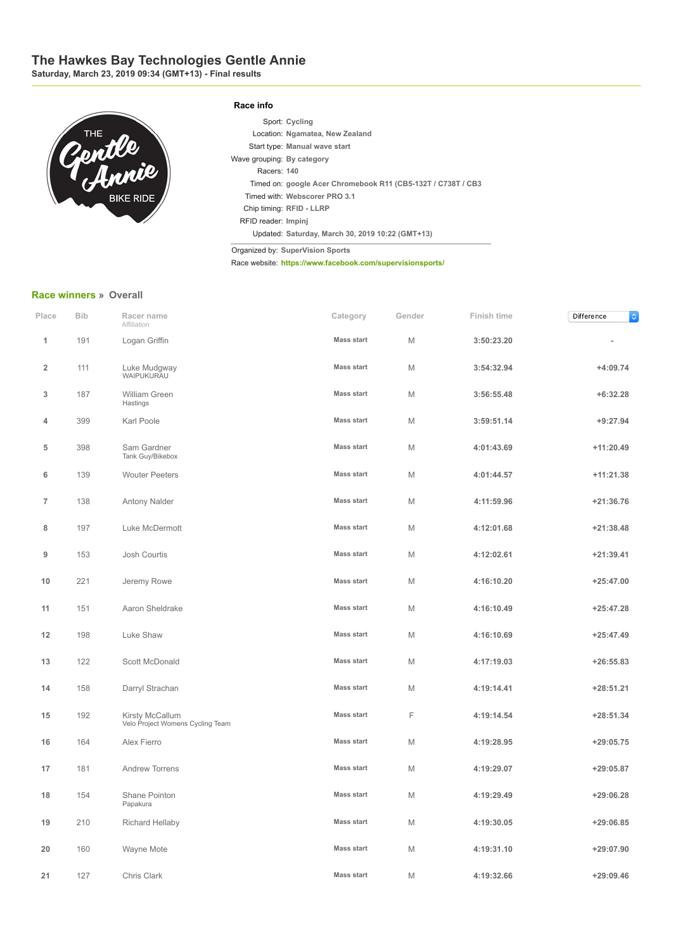## **The Hawkes Bay Technologies Gentle Annie**

**Saturday, March 23, 2019 09:34 (GMT+13) Final results**



## **Race info**

|                            | Sport: Cycling                                               |
|----------------------------|--------------------------------------------------------------|
|                            | Location: Ngamatea, New Zealand                              |
|                            | Start type: Manual wave start                                |
| Wave grouping: By category |                                                              |
| Racers: 140                |                                                              |
|                            | Timed on: google Acer Chromebook R11 (CB5-132T / C738T / CB3 |
|                            | Timed with: Webscorer PRO 3.1                                |
|                            | Chip timing: RFID - LLRP                                     |
| RFID reader: Impini        |                                                              |
|                            | Updated: Saturday, March 30, 2019 10:22 (GMT+13)             |

Organized by: **SuperVision Sports**

Race website: **<https://www.facebook.com/supervisionsports/>**

## **[Race winners](https://www.webscorer.com/race?raceid=173670) » Overall**

| Place          | <b>Bib</b> | Racer name<br>Affiliation                           | Category          | Gender | Finish time | Difference<br>¢ |
|----------------|------------|-----------------------------------------------------|-------------------|--------|-------------|-----------------|
| 1              | 191        | Logan Griffin                                       | <b>Mass start</b> | M      | 3:50:23.20  |                 |
| $\overline{2}$ | 111        | Luke Mudgway<br>WAIPUKURAU                          | <b>Mass start</b> | M      | 3:54:32.94  | $+4:09.74$      |
| 3              | 187        | William Green<br>Hastings                           | <b>Mass start</b> | M      | 3:56:55.48  | $+6:32.28$      |
| 4              | 399        | Karl Poole                                          | <b>Mass start</b> | M      | 3:59:51.14  | $+9:27.94$      |
| 5              | 398        | Sam Gardner<br>Tank Guy/Bikebox                     | <b>Mass start</b> | M      | 4:01:43.69  | $+11:20.49$     |
| 6              | 139        | <b>Wouter Peeters</b>                               | <b>Mass start</b> | M      | 4:01:44.57  | $+11:21.38$     |
| $\overline{7}$ | 138        | Antony Nalder                                       | <b>Mass start</b> | M      | 4:11:59.96  | $+21:36.76$     |
| 8              | 197        | Luke McDermott                                      | <b>Mass start</b> | M      | 4:12:01.68  | $+21:38.48$     |
| 9              | 153        | Josh Courtis                                        | <b>Mass start</b> | M      | 4:12:02.61  | $+21:39.41$     |
| 10             | 221        | Jeremy Rowe                                         | <b>Mass start</b> | M      | 4:16:10.20  | $+25:47.00$     |
| 11             | 151        | Aaron Sheldrake                                     | <b>Mass start</b> | M      | 4:16:10.49  | $+25:47.28$     |
| 12             | 198        | Luke Shaw                                           | <b>Mass start</b> | M      | 4:16:10.69  | $+25:47.49$     |
| 13             | 122        | Scott McDonald                                      | <b>Mass start</b> | M      | 4:17:19.03  | $+26:55.83$     |
| 14             | 158        | Darryl Strachan                                     | <b>Mass start</b> | M      | 4:19:14.41  | $+28:51.21$     |
| 15             | 192        | Kirsty McCallum<br>Velo Project Womens Cycling Team | <b>Mass start</b> | F      | 4:19:14.54  | $+28:51.34$     |
| 16             | 164        | Alex Fierro                                         | <b>Mass start</b> | M      | 4:19:28.95  | $+29:05.75$     |
| 17             | 181        | <b>Andrew Torrens</b>                               | <b>Mass start</b> | M      | 4:19:29.07  | $+29:05.87$     |
| 18             | 154        | Shane Pointon<br>Papakura                           | <b>Mass start</b> | M      | 4:19:29.49  | $+29:06.28$     |
| 19             | 210        | Richard Hellaby                                     | <b>Mass start</b> | M      | 4:19:30.05  | $+29:06.85$     |
| 20             | 160        | Wayne Mote                                          | <b>Mass start</b> | M      | 4:19:31.10  | $+29:07.90$     |
| 21             | 127        | Chris Clark                                         | <b>Mass start</b> | M      | 4:19:32.66  | $+29:09.46$     |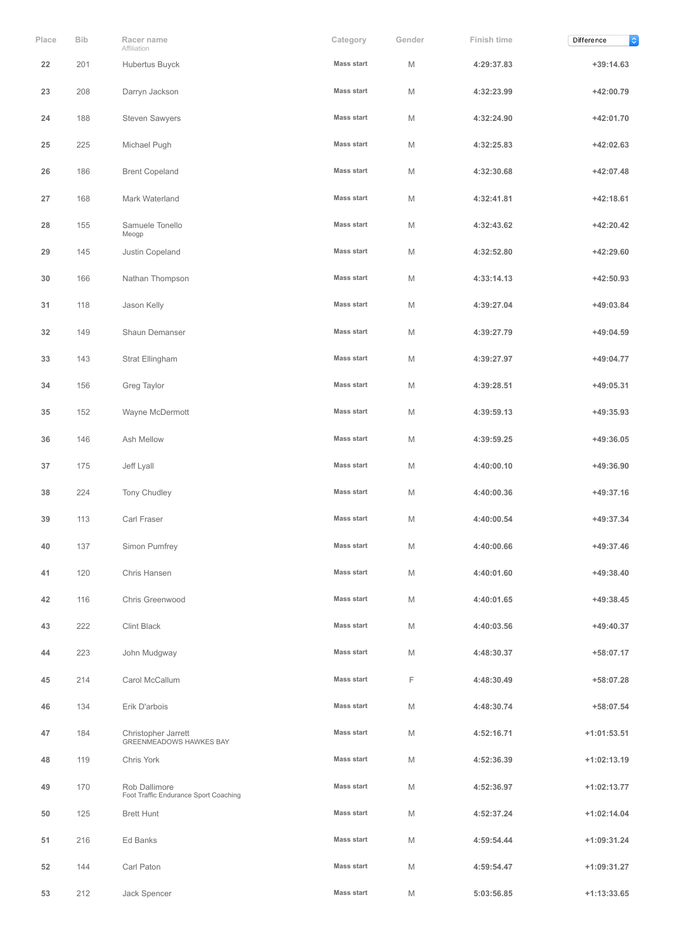| Place | Bib | Racer name<br>Affiliation                              | Category          | Gender | Finish time | $\Diamond$<br>Difference |
|-------|-----|--------------------------------------------------------|-------------------|--------|-------------|--------------------------|
| 22    | 201 | Hubertus Buyck                                         | <b>Mass start</b> | M      | 4:29:37.83  | $+39:14.63$              |
| 23    | 208 | Darryn Jackson                                         | <b>Mass start</b> | M      | 4:32:23.99  | $+42:00.79$              |
| 24    | 188 | <b>Steven Sawyers</b>                                  | <b>Mass start</b> | M      | 4:32:24.90  | $+42:01.70$              |
| 25    | 225 | Michael Pugh                                           | <b>Mass start</b> | M      | 4:32:25.83  | $+42:02.63$              |
| 26    | 186 | <b>Brent Copeland</b>                                  | <b>Mass start</b> | M      | 4:32:30.68  | $+42:07.48$              |
| 27    | 168 | Mark Waterland                                         | <b>Mass start</b> | M      | 4:32:41.81  | $+42:18.61$              |
| 28    | 155 | Samuele Tonello<br>Meogp                               | <b>Mass start</b> | M      | 4:32:43.62  | $+42:20.42$              |
| 29    | 145 | Justin Copeland                                        | <b>Mass start</b> | M      | 4:32:52.80  | $+42:29.60$              |
| 30    | 166 | Nathan Thompson                                        | <b>Mass start</b> | M      | 4:33:14.13  | $+42:50.93$              |
| 31    | 118 | Jason Kelly                                            | <b>Mass start</b> | M      | 4:39:27.04  | $+49:03.84$              |
| 32    | 149 | Shaun Demanser                                         | <b>Mass start</b> | M      | 4:39:27.79  | $+49:04.59$              |
| 33    | 143 | Strat Ellingham                                        | <b>Mass start</b> | M      | 4:39:27.97  | +49:04.77                |
| 34    | 156 | Greg Taylor                                            | <b>Mass start</b> | M      | 4:39:28.51  | $+49:05.31$              |
| 35    | 152 | Wayne McDermott                                        | <b>Mass start</b> | M      | 4:39:59.13  | $+49:35.93$              |
| 36    | 146 | Ash Mellow                                             | <b>Mass start</b> | M      | 4:39:59.25  | +49:36.05                |
| 37    | 175 | Jeff Lyall                                             | <b>Mass start</b> | M      | 4:40:00.10  | +49:36.90                |
| 38    | 224 | Tony Chudley                                           | <b>Mass start</b> | M      | 4:40:00.36  | +49:37.16                |
| 39    | 113 | Carl Fraser                                            | <b>Mass start</b> | M      | 4:40:00.54  | +49:37.34                |
| 40    | 137 | Simon Pumfrey                                          | <b>Mass start</b> | M      | 4:40:00.66  | +49:37.46                |
| 41    | 120 | Chris Hansen                                           | <b>Mass start</b> | M      | 4:40:01.60  | +49:38.40                |
| 42    | 116 | Chris Greenwood                                        | <b>Mass start</b> | M      | 4:40:01.65  | +49:38.45                |
| 43    | 222 | Clint Black                                            | <b>Mass start</b> | M      | 4:40:03.56  | $+49:40.37$              |
| 44    | 223 | John Mudgway                                           | <b>Mass start</b> | M      | 4:48:30.37  | +58:07.17                |
| 45    | 214 | Carol McCallum                                         | <b>Mass start</b> | F      | 4:48:30.49  | +58:07.28                |
| 46    | 134 | Erik D'arbois                                          | <b>Mass start</b> | M      | 4:48:30.74  | +58:07.54                |
| 47    | 184 | Christopher Jarrett<br>GREENMEADOWS HAWKES BAY         | <b>Mass start</b> | M      | 4:52:16.71  | $+1:01:53.51$            |
| 48    | 119 | Chris York                                             | <b>Mass start</b> | M      | 4:52:36.39  | $+1:02:13.19$            |
| 49    | 170 | Rob Dallimore<br>Foot Traffic Endurance Sport Coaching | <b>Mass start</b> | M      | 4:52:36.97  | $+1:02:13.77$            |
| 50    | 125 | <b>Brett Hunt</b>                                      | <b>Mass start</b> | M      | 4:52:37.24  | $+1:02:14.04$            |
| 51    | 216 | Ed Banks                                               | <b>Mass start</b> | M      | 4:59:54.44  | $+1:09:31.24$            |
| 52    | 144 | Carl Paton                                             | Mass start        | M      | 4:59:54.47  | +1:09:31.27              |
| 53    | 212 | Jack Spencer                                           | <b>Mass start</b> | M      | 5:03:56.85  | $+1:13:33.65$            |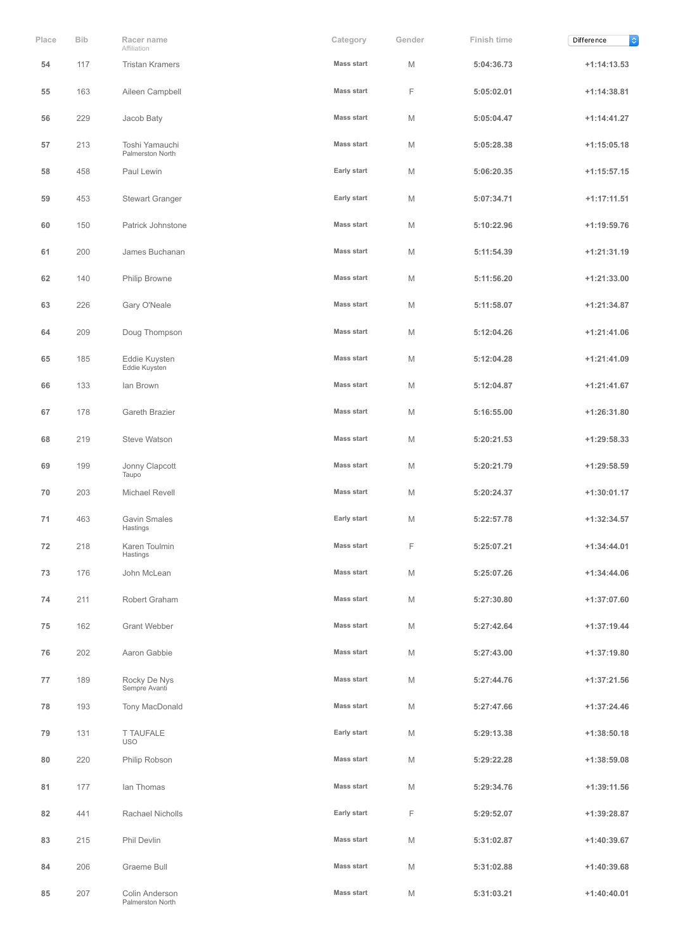| Place | <b>Bib</b> | Racer name<br>Affiliation          | Category          | Gender | Finish time | $\Diamond$<br>Difference |
|-------|------------|------------------------------------|-------------------|--------|-------------|--------------------------|
| 54    | 117        | <b>Tristan Kramers</b>             | <b>Mass start</b> | M      | 5:04:36.73  | $+1:14:13.53$            |
| 55    | 163        | Aileen Campbell                    | <b>Mass start</b> | F      | 5:05:02.01  | $+1:14:38.81$            |
| 56    | 229        | Jacob Baty                         | <b>Mass start</b> | M      | 5:05:04.47  | $+1:14:41.27$            |
| 57    | 213        | Toshi Yamauchi<br>Palmerston North | <b>Mass start</b> | M      | 5:05:28.38  | $+1:15:05.18$            |
| 58    | 458        | Paul Lewin                         | Early start       | M      | 5:06:20.35  | $+1:15:57.15$            |
| 59    | 453        | <b>Stewart Granger</b>             | Early start       | M      | 5:07:34.71  | $+1:17:11.51$            |
| 60    | 150        | Patrick Johnstone                  | <b>Mass start</b> | M      | 5:10:22.96  | $+1:19:59.76$            |
| 61    | 200        | James Buchanan                     | <b>Mass start</b> | M      | 5:11:54.39  | $+1:21:31.19$            |
| 62    | 140        | Philip Browne                      | <b>Mass start</b> | M      | 5:11:56.20  | $+1:21:33.00$            |
| 63    | 226        | Gary O'Neale                       | <b>Mass start</b> | M      | 5:11:58.07  | $+1:21:34.87$            |
| 64    | 209        | Doug Thompson                      | <b>Mass start</b> | M      | 5:12:04.26  | $+1:21:41.06$            |
| 65    | 185        | Eddie Kuysten<br>Eddie Kuysten     | <b>Mass start</b> | M      | 5:12:04.28  | $+1:21:41.09$            |
| 66    | 133        | lan Brown                          | <b>Mass start</b> | M      | 5:12:04.87  | $+1:21:41.67$            |
| 67    | 178        | Gareth Brazier                     | <b>Mass start</b> | M      | 5:16:55.00  | $+1:26:31.80$            |
| 68    | 219        | Steve Watson                       | <b>Mass start</b> | M      | 5:20:21.53  | $+1:29:58.33$            |
| 69    | 199        | Jonny Clapcott<br>Taupo            | <b>Mass start</b> | M      | 5:20:21.79  | $+1:29:58.59$            |
| 70    | 203        | Michael Revell                     | <b>Mass start</b> | M      | 5:20:24.37  | $+1:30:01.17$            |
| 71    | 463        | <b>Gavin Smales</b><br>Hastings    | Early start       | M      | 5:22:57.78  | $+1:32:34.57$            |
| 72    | 218        | Karen Toulmin<br>Hastings          | <b>Mass start</b> | F      | 5:25:07.21  | $+1:34:44.01$            |
| 73    | 176        | John McLean                        | <b>Mass start</b> | M      | 5:25:07.26  | $+1:34:44.06$            |
| 74    | 211        | Robert Graham                      | <b>Mass start</b> | M      | 5:27:30.80  | $+1:37:07.60$            |
| 75    | 162        | Grant Webber                       | <b>Mass start</b> | M      | 5:27:42.64  | $+1:37:19.44$            |
| 76    | 202        | Aaron Gabbie                       | <b>Mass start</b> | M      | 5:27:43.00  | $+1:37:19.80$            |
| 77    | 189        | Rocky De Nys<br>Sempre Avanti      | <b>Mass start</b> | M      | 5:27:44.76  | $+1:37:21.56$            |
| 78    | 193        | Tony MacDonald                     | <b>Mass start</b> | M      | 5:27:47.66  | $+1:37:24.46$            |
| 79    | 131        | <b>T TAUFALE</b><br><b>USO</b>     | Early start       | M      | 5:29:13.38  | $+1:38:50.18$            |
| 80    | 220        | Philip Robson                      | <b>Mass start</b> | M      | 5:29:22.28  | $+1:38:59.08$            |
| 81    | 177        | lan Thomas                         | Mass start        | M      | 5:29:34.76  | $+1:39:11.56$            |
| 82    | 441        | Rachael Nicholls                   | Early start       | F      | 5:29:52.07  | +1:39:28.87              |
| 83    | 215        | Phil Devlin                        | <b>Mass start</b> | M      | 5:31:02.87  | $+1:40:39.67$            |
| 84    | 206        | Graeme Bull                        | <b>Mass start</b> | M      | 5:31:02.88  | $+1:40:39.68$            |
| 85    | 207        | Colin Anderson<br>Palmerston North | <b>Mass start</b> | M      | 5:31:03.21  | $+1:40:40.01$            |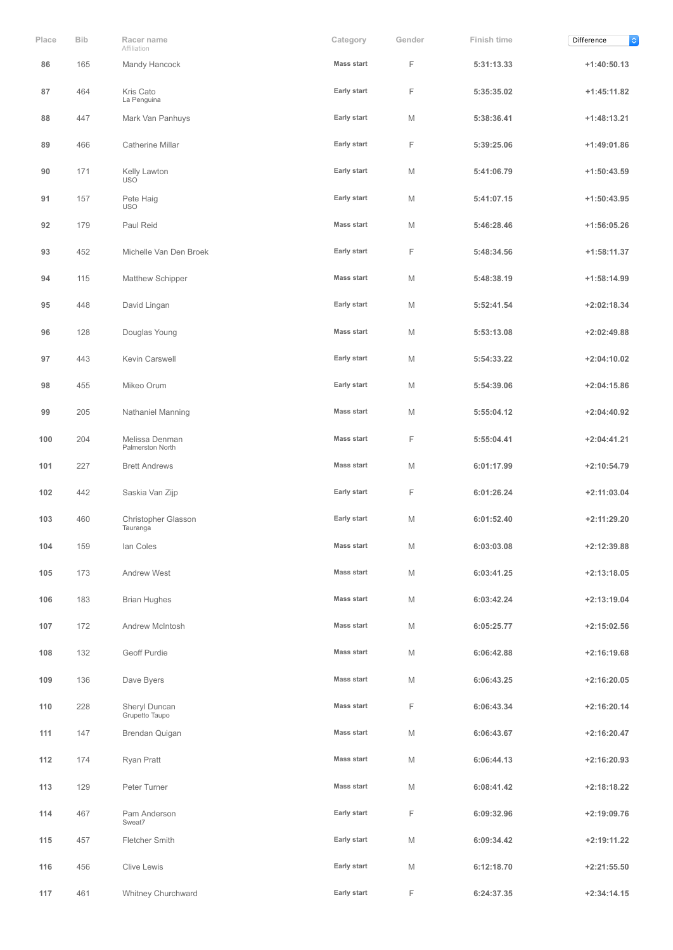| Place | <b>Bib</b> | Racer name<br>Affiliation          | Category          | Gender | Finish time | $\Diamond$<br>Difference |
|-------|------------|------------------------------------|-------------------|--------|-------------|--------------------------|
| 86    | 165        | Mandy Hancock                      | <b>Mass start</b> | F      | 5:31:13.33  | $+1:40:50.13$            |
| 87    | 464        | Kris Cato<br>La Penguina           | Early start       | F      | 5:35:35.02  | $+1:45:11.82$            |
| 88    | 447        | Mark Van Panhuys                   | Early start       | M      | 5:38:36.41  | $+1:48:13.21$            |
| 89    | 466        | <b>Catherine Millar</b>            | Early start       | F      | 5:39:25.06  | $+1:49:01.86$            |
| 90    | 171        | Kelly Lawton<br><b>USO</b>         | Early start       | M      | 5:41:06.79  | $+1:50:43.59$            |
| 91    | 157        | Pete Haig<br><b>USO</b>            | Early start       | M      | 5:41:07.15  | $+1:50:43.95$            |
| 92    | 179        | Paul Reid                          | <b>Mass start</b> | M      | 5:46:28.46  | $+1:56:05.26$            |
| 93    | 452        | Michelle Van Den Broek             | Early start       | F      | 5:48:34.56  | $+1:58:11.37$            |
| 94    | 115        | Matthew Schipper                   | <b>Mass start</b> | M      | 5:48:38.19  | $+1:58:14.99$            |
| 95    | 448        | David Lingan                       | Early start       | M      | 5:52:41.54  | $+2:02:18.34$            |
| 96    | 128        | Douglas Young                      | <b>Mass start</b> | M      | 5:53:13.08  | $+2:02:49.88$            |
| 97    | 443        | Kevin Carswell                     | Early start       | M      | 5:54:33.22  | $+2:04:10.02$            |
| 98    | 455        | Mikeo Orum                         | Early start       | M      | 5:54:39.06  | $+2:04:15.86$            |
| 99    | 205        | <b>Nathaniel Manning</b>           | <b>Mass start</b> | M      | 5:55:04.12  | +2:04:40.92              |
| 100   | 204        | Melissa Denman<br>Palmerston North | <b>Mass start</b> | F      | 5:55:04.41  | $+2:04:41.21$            |
| 101   | 227        | <b>Brett Andrews</b>               | Mass start        | M      | 6:01:17.99  | +2:10:54.79              |
| 102   | 442        | Saskia Van Zijp                    | Early start       | F      | 6:01:26.24  | $+2:11:03.04$            |
| 103   | 460        | Christopher Glasson<br>Tauranga    | Early start       | M      | 6:01:52.40  | $+2:11:29.20$            |
| 104   | 159        | lan Coles                          | <b>Mass start</b> | M      | 6:03:03.08  | +2:12:39.88              |
| 105   | 173        | Andrew West                        | <b>Mass start</b> | M      | 6:03:41.25  | $+2:13:18.05$            |
| 106   | 183        | <b>Brian Hughes</b>                | <b>Mass start</b> | M      | 6:03:42.24  | $+2:13:19.04$            |
| 107   | 172        | Andrew McIntosh                    | <b>Mass start</b> | M      | 6:05:25.77  | $+2:15:02.56$            |
| 108   | 132        | Geoff Purdie                       | <b>Mass start</b> | M      | 6:06:42.88  | $+2:16:19.68$            |
| 109   | 136        | Dave Byers                         | <b>Mass start</b> | M      | 6:06:43.25  | $+2:16:20.05$            |
| 110   | 228        | Sheryl Duncan<br>Grupetto Taupo    | <b>Mass start</b> | F      | 6:06:43.34  | $+2:16:20.14$            |
| 111   | 147        | Brendan Quigan                     | <b>Mass start</b> | M      | 6:06:43.67  | $+2:16:20.47$            |
| 112   | 174        | Ryan Pratt                         | <b>Mass start</b> | M      | 6:06:44.13  | $+2:16:20.93$            |
| 113   | 129        | Peter Turner                       | <b>Mass start</b> | M      | 6:08:41.42  | +2:18:18.22              |
| 114   | 467        | Pam Anderson<br>Sweat7             | Early start       | F      | 6:09:32.96  | +2:19:09.76              |
| 115   | 457        | <b>Fletcher Smith</b>              | Early start       | M      | 6:09:34.42  | +2:19:11.22              |
| 116   | 456        | Clive Lewis                        | Early start       | M      | 6:12:18.70  | $+2:21:55.50$            |
| 117   | 461        | Whitney Churchward                 | Early start       | F      | 6:24:37.35  | $+2:34:14.15$            |